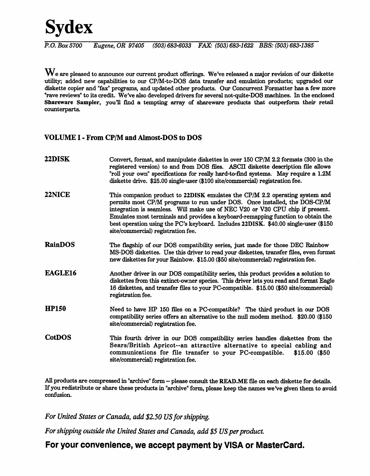## **Sydex**

*P.O. Box* 5700 *Eugene, OR* 97405 (503) 683-6033 *FAX:* (503) 683-1622 *BB8:* (503) 683-1385

 $\mathbf W$ e are pleased to announce our current product offerings. We've released a major revision of our diskette utility; added new capabilities to our CP/M-to-DOS data transfer and emulation products; upgraded our diskette copier and "fax" programs, and updated other products. Our Concurrent Formatter has a few more "rave reviews" to its credit. We've also developed drivers for several not-quite-DOS machines. In the enclosed Shareware Sampler, you'll find a tempting array of shareware products that outperform their retail counterparts.

## VOLUME I • From CP/M and Almost·DOS to DOS

| <b>22DISK</b>  | Convert, format, and manipulate diskettes in over 150 CP/M 2.2 formats (300 in the<br>registered version) to and from DOS files. ASCII diskette description file allows<br>"roll your own" specifications for really hard-to-find systems. May require a 1.2M<br>diskette drive. \$25.00 single-user (\$100 site/commercial) registration fee.                                                                                                             |
|----------------|------------------------------------------------------------------------------------------------------------------------------------------------------------------------------------------------------------------------------------------------------------------------------------------------------------------------------------------------------------------------------------------------------------------------------------------------------------|
| <b>22NICE</b>  | This companion product to 22DISK emulates the CP/M 2.2 operating system and<br>permits most CP/M programs to run under DOS. Once installed, the DOS-CP/M<br>integration is seamless. Will make use of NEC V20 or V30 CPU chip if present.<br>Emulates most terminals and provides a keyboard-remapping function to obtain the<br>best operation using the PC's keyboard. Includes 22DISK. \$40.00 single-user (\$150<br>site/commercial) registration fee. |
| <b>RainDOS</b> | The flagship of our DOS compatibility series, just made for those DEC Rainbow<br>MS-DOS diskettes. Use this driver to read your diskettes, transfer files, even format<br>new diskettes for your Rainbow. \$15.00 (\$50 site/commercial) registration fee.                                                                                                                                                                                                 |
| <b>EAGLE16</b> | Another driver in our DOS compatibility series, this product provides a solution to<br>diskettes from this extinct-owner species. This driver lets you read and format Eagle<br>16 diskettes, and transfer files to your PC-compatible. \$15.00 (\$50 site/commercial)<br>registration fee.                                                                                                                                                                |
| <b>HP150</b>   | Need to have HP 150 files on a PC-compatible? The third product in our DOS<br>compatibility series offers an alternative to the null modem method. \$20.00 (\$150<br>site/commercial) registration fee.                                                                                                                                                                                                                                                    |
| <b>CotDOS</b>  | This fourth driver in our DOS compatibility series handles diskettes from the<br>Sears/British Apricot--an attractive alternative to special cabling and<br>communications for file transfer to your PC-compatible.<br>$$15.00$ (\$50<br>site/commercial) registration fee.                                                                                                                                                                                |
|                |                                                                                                                                                                                                                                                                                                                                                                                                                                                            |

All products are compressed in "archive" form -- please consult the READ.ME flle on each diskette for details. If you redistribute or share these products in "archive" form, please keep the names we've given them to avoid· confusion.

*For United States or Canada, add \$2.50 US for shipping.* 

*For shipping outside the United States and Canada, add* \$5. *US per product.* 

For your convenience, we accept payment by VISA or MasterCard.